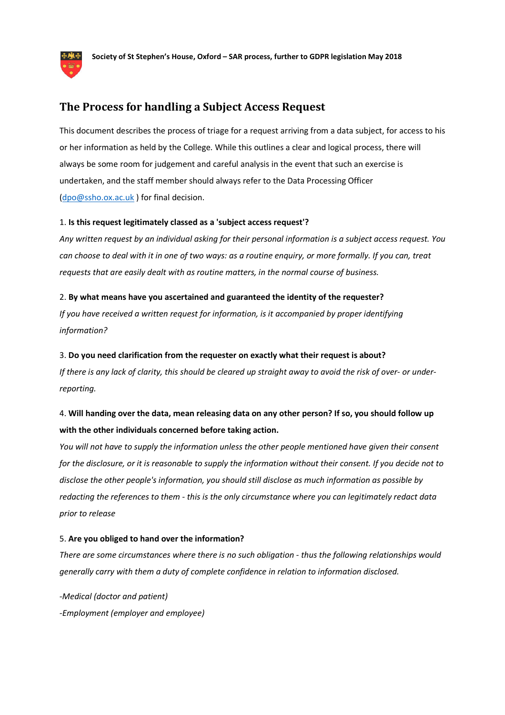

## **The Process for handling a Subject Access Request**

This document describes the process of triage for a request arriving from a data subject, for access to his or her information as held by the College. While this outlines a clear and logical process, there will always be some room for judgement and careful analysis in the event that such an exercise is undertaken, and the staff member should always refer to the Data Processing Officer (dpo@ssho.ox.ac.uk ) for final decision.

#### 1. **Is this request legitimately classed as a 'subject access request'?**

*Any written request by an individual asking for their personal information is a subject access request. You can choose to deal with it in one of two ways: as a routine enquiry, or more formally. If you can, treat requests that are easily dealt with as routine matters, in the normal course of business.*

#### 2. **By what means have you ascertained and guaranteed the identity of the requester?**

*If you have received a written request for information, is it accompanied by proper identifying information?*

#### 3. **Do you need clarification from the requester on exactly what their request is about?**

*If there is any lack of clarity, this should be cleared up straight away to avoid the risk of over- or underreporting.*

# 4. **Will handing over the data, mean releasing data on any other person? If so, you should follow up with the other individuals concerned before taking action.**

*You will not have to supply the information unless the other people mentioned have given their consent for the disclosure, or it is reasonable to supply the information without their consent. If you decide not to disclose the other people's information, you should still disclose as much information as possible by redacting the references to them - this is the only circumstance where you can legitimately redact data prior to release*

#### 5. **Are you obliged to hand over the information?**

*There are some circumstances where there is no such obligation - thus the following relationships would generally carry with them a duty of complete confidence in relation to information disclosed.*

*-Medical (doctor and patient) -Employment (employer and employee)*